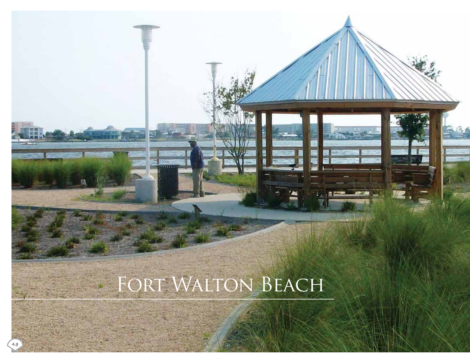# FORT WALTON BEACH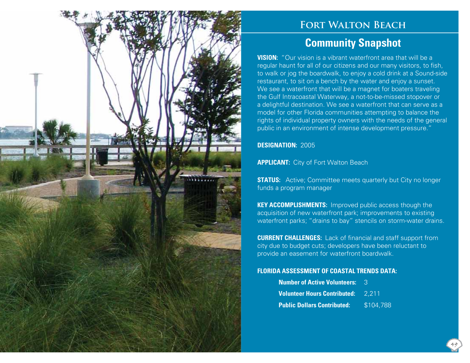

## **Fort Walton Beach**

### **Community Snapshot**

**VISION:** "Our vision is a vibrant waterfront area that will be a regular haunt for all of our citizens and our many visitors, to fish, to walk or jog the boardwalk, to enjoy a cold drink at a Sound-side restaurant, to sit on a bench by the water and enjoy a sunset. We see a waterfront that will be a magnet for boaters traveling the Gulf Intracoastal Waterway, a not-to-be-missed stopover or a delightful destination. We see a waterfront that can serve as a model for other Florida communities attempting to balance the rights of individual property owners with the needs of the general public in an environment of intense development pressure."

#### **DESIGNATION:** 2005

**APPLICANT:** City of Fort Walton Beach

**STATUS:** Active; Committee meets quarterly but City no longer funds a program manager

**KEY ACCOMPLISHMENTS:** Improved public access though the acquisition of new waterfront park; improvements to existing waterfront parks; "drains to bay" stencils on storm-water drains.

**CURRENT CHALLENGES:** Lack of financial and staff support from city due to budget cuts; developers have been reluctant to provide an easement for waterfront boardwalk.

#### **FLORIDA ASSESSMENT OF COASTAL TRENDS DATA:**

| Number of Active Volunteers: 3            |           |
|-------------------------------------------|-----------|
| <b>Volunteer Hours Contributed:</b> 2.211 |           |
| <b>Public Dollars Contributed:</b>        | \$104,788 |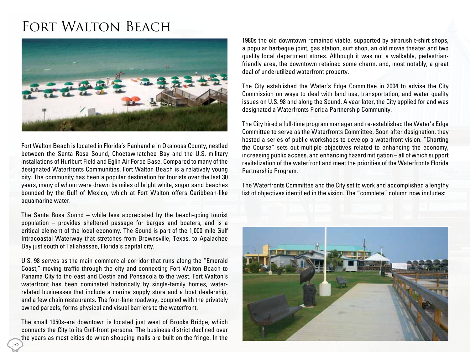## FORT WALTON BEACH



Fort Walton Beach is located in Florida's Panhandle in Okaloosa County, nestled between the Santa Rosa Sound, Choctawhatchee Bay and the U.S. military installations of Hurlburt Field and Eglin Air Force Base. Compared to many of the designated Waterfronts Communities, Fort Walton Beach is a relatively young city. The community has been a popular destination for tourists over the last 30 years, many of whom were drawn by miles of bright white, sugar sand beaches bounded by the Gulf of Mexico, which at Fort Walton offers Caribbean-like aquamarine water.

The Santa Rosa Sound – while less appreciated by the beach-going tourist population – provides sheltered passage for barges and boaters, and is a critical element of the local economy. The Sound is part of the 1,000-mile Gulf Intracoastal Waterway that stretches from Brownsville, Texas, to Apalachee Bay just south of Tallahassee, Florida's capital city.

U.S. 98 serves as the main commercial corridor that runs along the "Emerald Coast," moving traffic through the city and connecting Fort Walton Beach to Panama City to the east and Destin and Pensacola to the west. Fort Walton's waterfront has been dominated historically by single-family homes, waterrelated businesses that include a marine supply store and a boat dealership, and a few chain restaurants. The four-lane roadway, coupled with the privately owned parcels, forms physical and visual barriers to the waterfront.

The small 1950s-era downtown is located just west of Brooks Bridge, which connects the City to its Gulf-front persona. The business district declined over the years as most cities do when shopping malls are built on the fringe. In the

1980s the old downtown remained viable, supported by airbrush t-shirt shops, a popular barbeque joint, gas station, surf shop, an old movie theater and two quality local department stores. Although it was not a walkable, pedestrianfriendly area, the downtown retained some charm, and, most notably, a great deal of underutilized waterfront property.

The City established the Water's Edge Committee in 2004 to advise the City Commission on ways to deal with land use, transportation, and water quality issues on U.S. 98 and along the Sound. A year later, the City applied for and was designated a Waterfronts Florida Partnership Community.

The City hired a full-time program manager and re-established the Water's Edge Committee to serve as the Waterfronts Committee. Soon after designation, they hosted a series of public workshops to develop a waterfront vision. "Charting the Course" sets out multiple objectives related to enhancing the economy, increasing public access, and enhancing hazard mitigation – all of which support revitalization of the waterfront and meet the priorities of the Waterfronts Florida Partnership Program.

The Waterfronts Committee and the City set to work and accomplished a lengthy list of objectives identified in the vision. The "complete" column now includes: